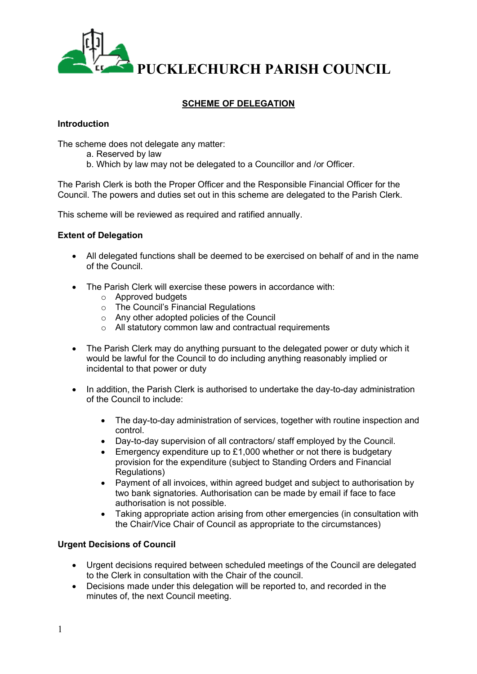

# **SCHEME OF DELEGATION**

### **Introduction**

The scheme does not delegate any matter:

- a. Reserved by law
- b. Which by law may not be delegated to a Councillor and /or Officer.

The Parish Clerk is both the Proper Officer and the Responsible Financial Officer for the Council. The powers and duties set out in this scheme are delegated to the Parish Clerk.

This scheme will be reviewed as required and ratified annually.

# **Extent of Delegation**

- All delegated functions shall be deemed to be exercised on behalf of and in the name of the Council.
- The Parish Clerk will exercise these powers in accordance with:
	- o Approved budgets
	- o The Council's Financial Regulations
	- o Any other adopted policies of the Council
	- o All statutory common law and contractual requirements
- The Parish Clerk may do anything pursuant to the delegated power or duty which it would be lawful for the Council to do including anything reasonably implied or incidental to that power or duty
- In addition, the Parish Clerk is authorised to undertake the day-to-day administration of the Council to include:
	- The day-to-day administration of services, together with routine inspection and control.
	- Day-to-day supervision of all contractors/ staff employed by the Council.
	- Emergency expenditure up to  $£1,000$  whether or not there is budgetary provision for the expenditure (subject to Standing Orders and Financial Regulations)
	- Payment of all invoices, within agreed budget and subject to authorisation by two bank signatories. Authorisation can be made by email if face to face authorisation is not possible.
	- Taking appropriate action arising from other emergencies (in consultation with the Chair/Vice Chair of Council as appropriate to the circumstances)

# **Urgent Decisions of Council**

- Urgent decisions required between scheduled meetings of the Council are delegated to the Clerk in consultation with the Chair of the council.
- Decisions made under this delegation will be reported to, and recorded in the minutes of, the next Council meeting.